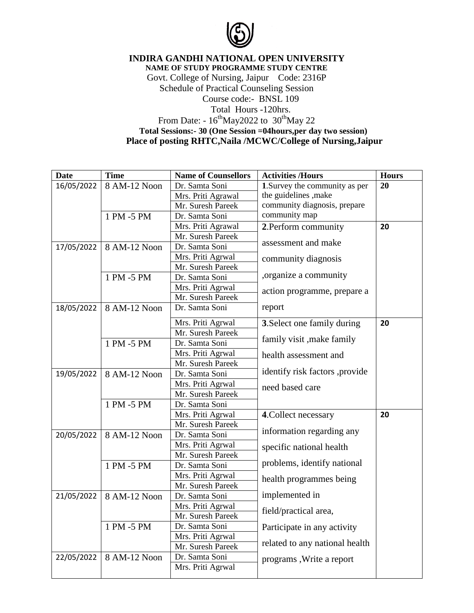

**INDIRA GANDHI NATIONAL OPEN UNIVERSITY NAME OF STUDY PROGRAMME STUDY CENTRE** Govt. College of Nursing, Jaipur Code: 2316P Schedule of Practical Counseling Session Course code:- BNSL 109 Total Hours -120hrs. From Date:  $-16^{th}$ May2022 to  $30^{th}$ May 22 **Total Sessions:- 30 (One Session =04hours,per day two session) Place of posting RHTC,Naila /MCWC/College of Nursing,Jaipur**

| <b>Date</b> | <b>Time</b>  | <b>Name of Counsellors</b> | <b>Activities /Hours</b>       | <b>Hours</b> |
|-------------|--------------|----------------------------|--------------------------------|--------------|
| 16/05/2022  | 8 AM-12 Noon | Dr. Samta Soni             | 1. Survey the community as per | 20           |
|             |              | Mrs. Priti Agrawal         | the guidelines , make          |              |
|             |              | Mr. Suresh Pareek          | community diagnosis, prepare   |              |
|             | 1 PM -5 PM   | Dr. Samta Soni             | community map                  |              |
|             |              | Mrs. Priti Agrawal         | 2. Perform community           | 20           |
|             |              | Mr. Suresh Pareek          |                                |              |
| 17/05/2022  | 8 AM-12 Noon | Dr. Samta Soni             | assessment and make            |              |
|             |              | Mrs. Priti Agrwal          | community diagnosis            |              |
|             |              | Mr. Suresh Pareek          |                                |              |
|             | 1 PM -5 PM   | Dr. Samta Soni             | , organize a community         |              |
|             |              | Mrs. Priti Agrwal          | action programme, prepare a    |              |
|             |              | Mr. Suresh Pareek          |                                |              |
| 18/05/2022  | 8 AM-12 Noon | Dr. Samta Soni             | report                         |              |
|             |              | Mrs. Priti Agrwal          | 3. Select one family during    | 20           |
|             |              | Mr. Suresh Pareek          |                                |              |
|             | 1 PM -5 PM   | Dr. Samta Soni             | family visit, make family      |              |
|             |              | Mrs. Priti Agrwal          | health assessment and          |              |
|             |              | Mr. Suresh Pareek          |                                |              |
| 19/05/2022  | 8 AM-12 Noon | Dr. Samta Soni             | identify risk factors, provide |              |
|             |              | Mrs. Priti Agrwal          | need based care                |              |
|             |              | Mr. Suresh Pareek          |                                |              |
|             | 1 PM -5 PM   | Dr. Samta Soni             |                                |              |
|             |              | Mrs. Priti Agrwal          | 4. Collect necessary           | 20           |
|             |              | Mr. Suresh Pareek          |                                |              |
| 20/05/2022  | 8 AM-12 Noon | Dr. Samta Soni             | information regarding any      |              |
|             |              | Mrs. Priti Agrwal          | specific national health       |              |
|             |              | Mr. Suresh Pareek          |                                |              |
|             | 1 PM -5 PM   | Dr. Samta Soni             | problems, identify national    |              |
|             |              | Mrs. Priti Agrwal          | health programmes being        |              |
|             |              | Mr. Suresh Pareek          |                                |              |
| 21/05/2022  | 8 AM-12 Noon | Dr. Samta Soni             | implemented in                 |              |
|             |              | Mrs. Priti Agrwal          | field/practical area,          |              |
|             |              | Mr. Suresh Pareek          |                                |              |
|             | 1 PM -5 PM   | Dr. Samta Soni             | Participate in any activity    |              |
|             |              | Mrs. Priti Agrwal          |                                |              |
|             |              | Mr. Suresh Pareek          | related to any national health |              |
| 22/05/2022  | 8 AM-12 Noon | Dr. Samta Soni             | programs, Write a report       |              |
|             |              | Mrs. Priti Agrwal          |                                |              |
|             |              |                            |                                |              |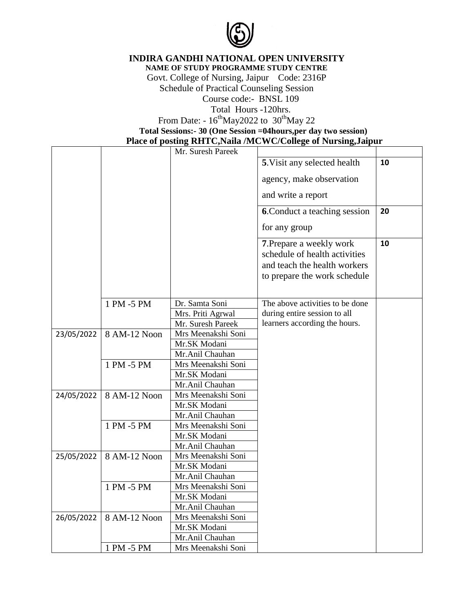

**INDIRA GANDHI NATIONAL OPEN UNIVERSITY**

**NAME OF STUDY PROGRAMME STUDY CENTRE**

Govt. College of Nursing, Jaipur Code: 2316P Schedule of Practical Counseling Session Course code:- BNSL 109 Total Hours -120hrs.

From Date:  $-16^{th}$ May2022 to  $30^{th}$ May 22

**Total Sessions:- 30 (One Session =04hours,per day two session)**

 **Place of posting RHTC,Naila /MCWC/College of Nursing,Jaipur**

|            |              | Mr. Suresh Pareek  |                                                                                                                           |    |
|------------|--------------|--------------------|---------------------------------------------------------------------------------------------------------------------------|----|
|            |              |                    | 5. Visit any selected health                                                                                              | 10 |
|            |              |                    |                                                                                                                           |    |
|            |              |                    | agency, make observation                                                                                                  |    |
|            |              |                    | and write a report                                                                                                        |    |
|            |              |                    | <b>6.</b> Conduct a teaching session                                                                                      | 20 |
|            |              |                    | for any group                                                                                                             |    |
|            |              |                    | 7. Prepare a weekly work<br>schedule of health activities<br>and teach the health workers<br>to prepare the work schedule | 10 |
|            |              |                    |                                                                                                                           |    |
|            | 1 PM -5 PM   | Dr. Samta Soni     | The above activities to be done                                                                                           |    |
|            |              | Mrs. Priti Agrwal  | during entire session to all                                                                                              |    |
|            |              | Mr. Suresh Pareek  | learners according the hours.                                                                                             |    |
| 23/05/2022 | 8 AM-12 Noon | Mrs Meenakshi Soni |                                                                                                                           |    |
|            |              | Mr.SK Modani       |                                                                                                                           |    |
|            |              | Mr.Anil Chauhan    |                                                                                                                           |    |
|            | 1 PM -5 PM   | Mrs Meenakshi Soni |                                                                                                                           |    |
|            |              | Mr.SK Modani       |                                                                                                                           |    |
|            |              | Mr.Anil Chauhan    |                                                                                                                           |    |
| 24/05/2022 | 8 AM-12 Noon | Mrs Meenakshi Soni |                                                                                                                           |    |
|            |              | Mr.SK Modani       |                                                                                                                           |    |
|            |              | Mr.Anil Chauhan    |                                                                                                                           |    |
|            | 1 PM -5 PM   | Mrs Meenakshi Soni |                                                                                                                           |    |
|            |              | Mr.SK Modani       |                                                                                                                           |    |
|            |              | Mr.Anil Chauhan    |                                                                                                                           |    |
| 25/05/2022 | 8 AM-12 Noon | Mrs Meenakshi Soni |                                                                                                                           |    |
|            |              | Mr.SK Modani       |                                                                                                                           |    |
|            |              | Mr.Anil Chauhan    |                                                                                                                           |    |
|            | 1 PM -5 PM   | Mrs Meenakshi Soni |                                                                                                                           |    |
|            |              | Mr.SK Modani       |                                                                                                                           |    |
|            |              | Mr.Anil Chauhan    |                                                                                                                           |    |
| 26/05/2022 | 8 AM-12 Noon | Mrs Meenakshi Soni |                                                                                                                           |    |
|            |              | Mr.SK Modani       |                                                                                                                           |    |
|            |              | Mr.Anil Chauhan    |                                                                                                                           |    |
|            | 1 PM -5 PM   | Mrs Meenakshi Soni |                                                                                                                           |    |